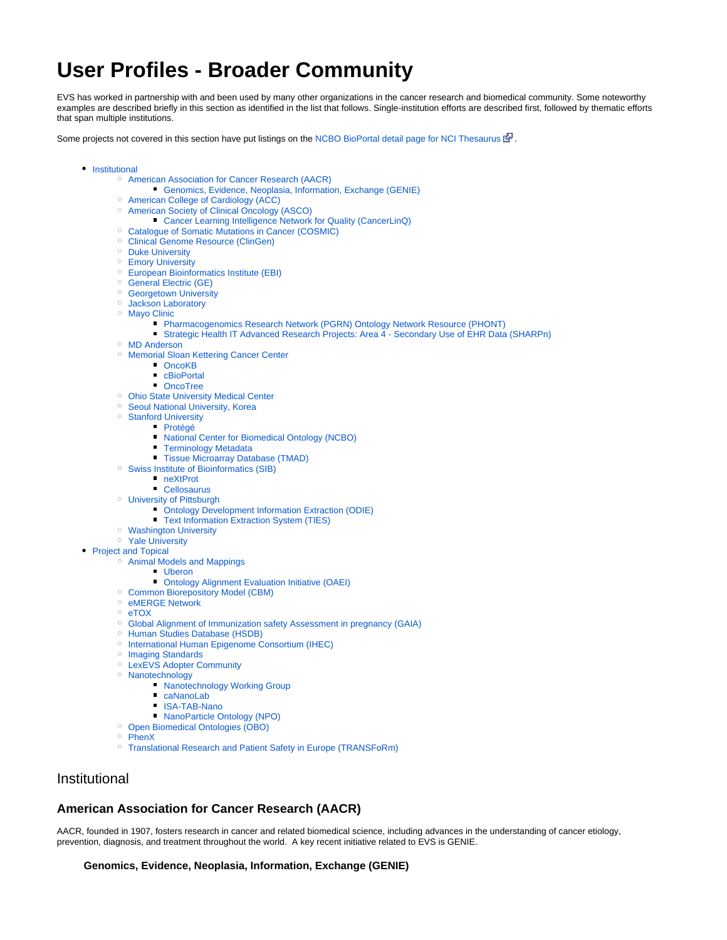# **User Profiles - Broader Community**

EVS has worked in partnership with and been used by many other organizations in the cancer research and biomedical community. Some noteworthy examples are described briefly in this section as identified in the list that follows. Single-institution efforts are described first, followed by thematic efforts that span multiple institutions.

Some projects not covered in this section have put listings on the [NCBO BioPortal detail page for NCI Thesaurus](http://bioportal.bioontology.org/ontologies/50373#projects_content)  $\mathbb{F}$ [.](http://www.cancer.gov/policies/linking)

- [Institutional](#page-0-0)
	- [American Association for Cancer Research \(AACR\)](#page-0-1)
		- [Genomics, Evidence, Neoplasia, Information, Exchange \(GENIE\)](#page-0-2)
	- [American College of Cardiology \(ACC\)](#page-1-0)
	- <sup>o</sup> [American Society of Clinical Oncology \(ASCO\)](#page-1-1)
		- [Cancer Learning Intelligence Network for Quality \(CancerLinQ\)](#page-1-2)
	- <sup>o</sup> [Catalogue of Somatic Mutations in Cancer \(COSMIC\)](#page-1-3)
	- [Clinical Genome Resource \(ClinGen\)](#page-1-4)
	- <sup>o</sup> [Duke University](#page-1-5)
	- <sup>o</sup> [Emory University](#page-2-0)
	- [European Bioinformatics Institute \(EBI\)](#page-2-1)
	- <sup>o</sup> [General Electric \(GE\)](#page-2-2)
	- <sup>o</sup> [Georgetown University](#page-2-3)
	- <sup>o</sup> [Jackson Laboratory](#page-2-4)
	- o [Mayo Clinic](#page-2-5)
		- **[Pharmacogenomics Research Network \(PGRN\) Ontology Network Resource \(PHONT\)](#page-3-0)**
		- **[Strategic Health IT Advanced Research Projects: Area 4 Secondary Use of EHR Data \(SHARPn\)](#page-3-1)**
	- <sup>o</sup> [MD Anderson](#page-3-2)
	- <sup>o</sup> [Memorial Sloan Kettering Cancer Center](#page-3-3)
		- **D** [OncoKB](#page-3-4)
			- [cBioPortal](#page-3-5)
			- [OncoTree](#page-3-6)
	- <sup>o</sup> [Ohio State University Medical Center](#page-4-0)
	- <sup>o</sup> [Seoul National University, Korea](#page-4-1)
	- <sup>o</sup> [Stanford University](#page-4-2)
		- [Protégé](#page-4-3)
			- [National Center for Biomedical Ontology \(NCBO\)](#page-4-4)
		- **[Terminology Metadata](#page-4-5)**
		- **[Tissue Microarray Database \(TMAD\)](#page-4-6)**
	- [Swiss Institute of Bioinformatics \(SIB\)](#page-5-0)
		- [neXtProt](#page-5-1)
		- [Cellosaurus](#page-5-2)
	- [University of Pittsburgh](#page-5-3)
		- [Ontology Development Information Extraction \(ODIE\)](#page-5-4)
		- **[Text Information Extraction System \(TIES\)](#page-6-0)**
	- [Washington University](#page-6-1)
	- <sup>o</sup> [Yale University](#page-6-2)
- [Project and Topical](#page-6-3)
	- [Animal Models and Mappings](#page-6-4)
		- **[Uberon](#page-7-0)** 
			- **Contology Alignment Evaluation Initiative (OAEI)**
	- [Common Biorepository Model \(CBM\)](#page-7-2)
	- <sup>o</sup> [eMERGE Network](#page-7-3)
	- [eTOX](#page-7-4)
	- [Global Alignment of Immunization safety Assessment in pregnancy \(GAIA\)](#page-7-5)
	- <sup>o</sup> [Human Studies Database \(HSDB\)](#page-7-6)
	- <sup>o</sup> [International Human Epigenome Consortium \(IHEC\)](#page-8-0)
	- <sup>o</sup> [Imaging Standards](#page-8-1)
	- <sup>o</sup> [LexEVS Adopter Community](#page-8-2)
	- <sup>o</sup> [Nanotechnology](#page-8-3)
		- **[Nanotechnology Working Group](#page-8-4)**
		- [caNanoLab](#page-9-0)
		- [ISA-TAB-Nano](#page-9-1)
		- $\blacksquare$ [NanoParticle Ontology \(NPO\)](#page-9-2)
	- [Open Biomedical Ontologies \(OBO\)](#page-9-3)
	- <sup>o</sup> [PhenX](#page-10-0)
	- [Translational Research and Patient Safety in Europe \(TRANSFoRm\)](#page-10-1)

# <span id="page-0-0"></span>Institutional

### <span id="page-0-1"></span>**American Association for Cancer Research (AACR)**

<span id="page-0-2"></span>AACR, founded in 1907, fosters research in cancer and related biomedical science, including advances in the understanding of cancer etiology, prevention, diagnosis, and treatment throughout the world. A key recent initiative related to EVS is GENIE.

#### **Genomics, Evidence, Neoplasia, Information, Exchange (GENIE)**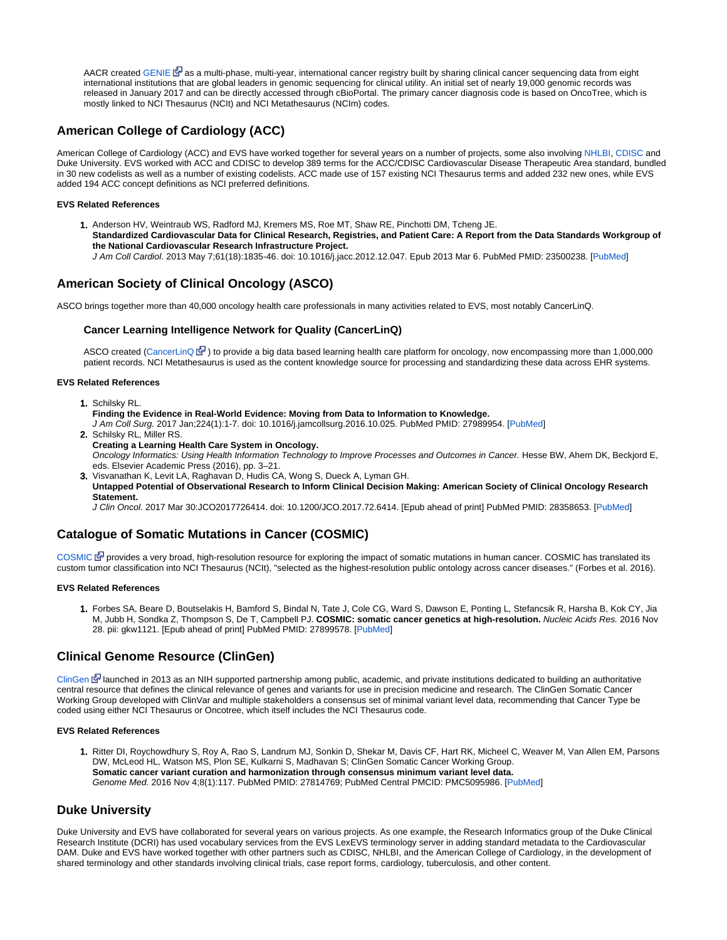AACR created [GENIE](http://www.aacr.org/Research/Research/Pages/aacr-project-genie.aspx)  $\mathbb{S}^{\mathbb{J}}$  $\mathbb{S}^{\mathbb{J}}$  $\mathbb{S}^{\mathbb{J}}$  as a multi-phase, multi-year, international cancer registry built by sharing clinical cancer sequencing data from eight international institutions that are global leaders in genomic sequencing for clinical utility. An initial set of nearly 19,000 genomic records was released in January 2017 and can be directly accessed through cBioPortal. The primary cancer diagnosis code is based on OncoTree, which is mostly linked to NCI Thesaurus (NCIt) and NCI Metathesaurus (NCIm) codes.

# <span id="page-1-0"></span>**American College of Cardiology (ACC)**

American College of Cardiology (ACC) and EVS have worked together for several years on a number of projects, some also involving [NHLBI](https://wiki.nci.nih.gov/display/EVS/12+-+User+Profiles+-+NIH), [CDISC](https://wiki.nci.nih.gov/display/EVS/13+-+User+Profiles+-+Government+and+Standards+Organizations) and Duke University. EVS worked with ACC and CDISC to develop 389 terms for the ACC/CDISC Cardiovascular Disease Therapeutic Area standard, bundled in 30 new codelists as well as a number of existing codelists. ACC made use of 157 existing NCI Thesaurus terms and added 232 new ones, while EVS added 194 ACC concept definitions as NCI preferred definitions.

#### **EVS Related References**

- 1. Anderson HV, Weintraub WS, Radford MJ, Kremers MS, Roe MT, Shaw RE, Pinchotti DM, Tcheng JE.
	- **Standardized Cardiovascular Data for Clinical Research, Registries, and Patient Care: A Report from the Data Standards Workgroup of the National Cardiovascular Research Infrastructure Project.**
	- J Am Coll Cardiol. 2013 May 7;61(18):1835-46. doi: 10.1016/j.jacc.2012.12.047. Epub 2013 Mar 6. PubMed PMID: 23500238. [[PubMed](http://www.ncbi.nlm.nih.gov/pubmed/23500238)]

# <span id="page-1-1"></span>**American Society of Clinical Oncology (ASCO)**

<span id="page-1-2"></span>ASCO brings together more than 40,000 oncology health care professionals in many activities related to EVS, most notably CancerLinQ.

### **Cancer Learning Intelligence Network for Quality (CancerLinQ)**

ASCO created [\(CancerLinQ](https://cancerlinq.org/) 图) to provide a big data based learning health care platform for oncology, now encompassing more than 1,000,000 patient records. NCI Metathesaurus is used as the content knowledge source for processing and standardizing these data across EHR systems.

#### **EVS Related References**

- 1. Schilsky RL.
	- **Finding the Evidence in Real-World Evidence: Moving from Data to Information to Knowledge.**

J Am Coll Surg. 2017 Jan;224(1):1-7. doi: 10.1016/j.jamcollsurg.2016.10.025. PubMed PMID: 27989954. [\[PubMed](https://www.ncbi.nlm.nih.gov/pubmed/27989954)]

- 2. Schilsky RL, Miller RS.
- **Creating a Learning Health Care System in Oncology.** Oncology Informatics: Using Health Information Technology to Improve Processes and Outcomes in Cancer. Hesse BW, Ahern DK, Beckjord E, eds. Elsevier Academic Press (2016), pp. 3–21.
- 3. Visvanathan K, Levit LA, Raghavan D, Hudis CA, Wong S, Dueck A, Lyman GH. **Untapped Potential of Observational Research to Inform Clinical Decision Making: American Society of Clinical Oncology Research Statement.**

J Clin Oncol. 2017 Mar 30:JCO2017726414. doi: 10.1200/JCO.2017.72.6414. [Epub ahead of print] PubMed PMID: 28358653. [\[PubMed](https://www.ncbi.nlm.nih.gov/pubmed/28358653)]

# <span id="page-1-3"></span>**Catalogue of Somatic Mutations in Cancer (COSMIC)**

[COSMIC](http://cancer.sanger.ac.uk/cosmic) **d** [p](http://www.cancer.gov/policies/linking)rovides a very broad, high-resolution resource for exploring the impact of somatic mutations in human cancer. COSMIC has translated its custom tumor classification into NCI Thesaurus (NCIt), "selected as the highest-resolution public ontology across cancer diseases." (Forbes et al. 2016).

#### **EVS Related References**

1. Forbes SA, Beare D, Boutselakis H, Bamford S, Bindal N, Tate J, Cole CG, Ward S, Dawson E, Ponting L, Stefancsik R, Harsha B, Kok CY, Jia M, Jubb H, Sondka Z, Thompson S, De T, Campbell PJ. **COSMIC: somatic cancer genetics at high-resolution.** Nucleic Acids Res. 2016 Nov 28. pii: gkw1121. [Epub ahead of print] PubMed PMID: 27899578. [[PubMed\]](https://www.ncbi.nlm.nih.gov/pubmed/27899578)

# <span id="page-1-4"></span>**Clinical Genome Resource (ClinGen)**

[ClinGen](https://www.clinicalgenome.org/) [l](http://www.cancer.gov/policies/linking)aunched in 2013 as an NIH supported partnership among public, academic, and private institutions dedicated to building an authoritative central resource that defines the clinical relevance of genes and variants for use in precision medicine and research. The ClinGen Somatic Cancer Working Group developed with ClinVar and multiple stakeholders a consensus set of minimal variant level data, recommending that Cancer Type be coded using either NCI Thesaurus or Oncotree, which itself includes the NCI Thesaurus code.

#### **EVS Related References**

1. Ritter DI, Roychowdhury S, Roy A, Rao S, Landrum MJ, Sonkin D, Shekar M, Davis CF, Hart RK, Micheel C, Weaver M, Van Allen EM, Parsons DW, McLeod HL, Watson MS, Plon SE, Kulkarni S, Madhavan S; ClinGen Somatic Cancer Working Group. **Somatic cancer variant curation and harmonization through consensus minimum variant level data.** Genome Med. 2016 Nov 4;8(1):117. PubMed PMID: 27814769; PubMed Central PMCID: PMC5095986. [\[PubMed](https://www.ncbi.nlm.nih.gov/pubmed/27814769)]

### <span id="page-1-5"></span>**Duke University**

Duke University and EVS have collaborated for several years on various projects. As one example, the Research Informatics group of the Duke Clinical Research Institute (DCRI) has used vocabulary services from the EVS LexEVS terminology server in adding standard metadata to the Cardiovascular DAM. Duke and EVS have worked together with other partners such as CDISC, NHLBI, and the American College of Cardiology, in the development of shared terminology and other standards involving clinical trials, case report forms, cardiology, tuberculosis, and other content.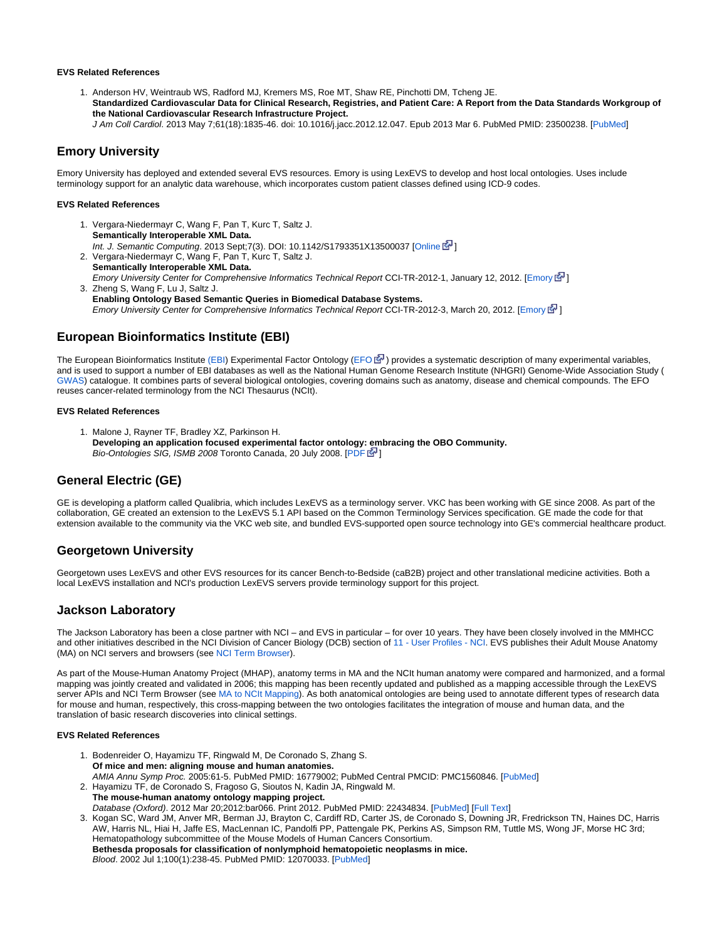#### **EVS Related References**

- 1. Anderson HV, Weintraub WS, Radford MJ, Kremers MS, Roe MT, Shaw RE, Pinchotti DM, Tcheng JE. **Standardized Cardiovascular Data for Clinical Research, Registries, and Patient Care: A Report from the Data Standards Workgroup of the National Cardiovascular Research Infrastructure Project.**
	- J Am Coll Cardiol. 2013 May 7;61(18):1835-46. doi: 10.1016/j.jacc.2012.12.047. Epub 2013 Mar 6. PubMed PMID: 23500238. [[PubMed](http://www.ncbi.nlm.nih.gov/pubmed/23500238)]

### <span id="page-2-0"></span>**Emory University**

Emory University has deployed and extended several EVS resources. Emory is using LexEVS to develop and host local ontologies. Uses include terminology support for an analytic data warehouse, which incorporates custom patient classes defined using ICD-9 codes.

#### **EVS Related References**

- 1. Vergara-Niedermayr C, Wang F, Pan T, Kurc T, Saltz J. 2. Vergara-Niedermayr C, Wang F, Pan T, Kurc T, Saltz J. **Semantically Interoperable XML Data.** Int. J. Semantic Computing. 2013 Sept;7(3). DOI: 10.1142/S1793351X13500037 [\[Online](http://www.worldscientific.com/doi/abs/10.1142/S1793351X13500037) F[\]](http://www.cancer.gov/policies/linking)
- 3. Zheng S, Wang F, Lu J, Saltz J. **Semantically Interoperable XML Data.** [Emory](http://confluence.cci.emory.edu:8090/download/attachments/4033450/CCI-TR-2012-1.pdf) University Center for Comprehensive Informatics Technical Report CCI-TR-2012-1, January 12, 2012. [Emory E<sup>T</sup>]
- **Enabling Ontology Based Semantic Queries in Biomedical Database Systems.** Emory University Center for Comprehensive Informatics Technical Report CCI-TR-2012-3, March 20, 2012. [\[Emory](http://confluence.cci.emory.edu:8090/download/attachments/4033450/CCI-TR-2012-3.pdf)  $\mathbb{F}$ ]

### <span id="page-2-1"></span>**European Bioinformatics Institute (EBI)**

The European Bioinformatics Institute [\(EBI\)](http://www.ebi.ac.uk/) Experimental Factor Ontology [\(EFO](http://www.ebi.ac.uk/efo/)  $\mathbb{F}$ ) provides a systematic description of many experimental variables, and is used to support a number of EBI databases as well as the National Human Genome Research Institute (NHGRI) Genome-Wide Association Study ( [GWAS\)](http://www.genome.gov/gwastudies/) catalogue. It combines parts of several biological ontologies, covering domains such as anatomy, disease and chemical compounds. The EFO reuses cancer-related terminology from the NCI Thesaurus (NCIt).

#### **EVS Related References**

1. Malone J, Rayner TF, Bradley XZ, Parkinson H. **Developing an application focused experimental factor ontology: embracing the OBO Community.** Bio-Ontologies SIG, ISMB 2008 Toronto Canada, 20 July 2008. [[PDF](http://www.ebi.ac.uk/efo/malone_bioontologies_2008.pdf)  $\mathbb{E}^1$ ]

# <span id="page-2-2"></span>**General Electric (GE)**

GE is developing a platform called Qualibria, which includes LexEVS as a terminology server. VKC has been working with GE since 2008. As part of the collaboration, GE created an extension to the LexEVS 5.1 API based on the Common Terminology Services specification. GE made the code for that extension available to the community via the VKC web site, and bundled EVS-supported open source technology into GE's commercial healthcare product.

### <span id="page-2-3"></span>**Georgetown University**

Georgetown uses LexEVS and other EVS resources for its cancer Bench-to-Bedside (caB2B) project and other translational medicine activities. Both a local LexEVS installation and NCI's production LexEVS servers provide terminology support for this project.

### <span id="page-2-4"></span>**Jackson Laboratory**

The Jackson Laboratory has been a close partner with NCI – and EVS in particular – for over 10 years. They have been closely involved in the MMHCC and other initiatives described in the NCI Division of Cancer Biology (DCB) section of [11 - User Profiles - NCI.](https://wiki.nci.nih.gov/display/EVS/11+-+User+Profiles+-+NCI) EVS publishes their Adult Mouse Anatomy (MA) on NCI servers and browsers (see [NCI Term Browser](http://nciterms.nci.nih.gov/ncitbrowser/pages/vocabulary.jsf?dictionary=MA)).

As part of the Mouse-Human Anatomy Project (MHAP), anatomy terms in MA and the NCIt human anatomy were compared and harmonized, and a formal mapping was jointly created and validated in 2006; this mapping has been recently updated and published as a mapping accessible through the LexEVS server APIs and NCI Term Browser (see [MA to NCIt Mapping\)](http://nciterms.nci.nih.gov/ncitbrowser/pages/vocabulary.jsf?dictionary=MA_to_NCIt_Mapping). As both anatomical ontologies are being used to annotate different types of research data for mouse and human, respectively, this cross-mapping between the two ontologies facilitates the integration of mouse and human data, and the translation of basic research discoveries into clinical settings.

#### **EVS Related References**

1. Bodenreider O, Hayamizu TF, Ringwald M, De Coronado S, Zhang S. 2. Hayamizu TF, de Coronado S, Fragoso G, Sioutos N, Kadin JA, Ringwald M. **Of mice and men: aligning mouse and human anatomies.** AMIA Annu Symp Proc. 2005:61-5. PubMed PMID: 16779002; PubMed Central PMCID: PMC1560846. [[PubMed\]](http://www.ncbi.nlm.nih.gov/pubmed/16779002) **The mouse-human anatomy ontology mapping project.**

Database (Oxford). 2012 Mar 20;2012:bar066. Print 2012. PubMed PMID: 22434834. [\[PubMed](http://www.ncbi.nlm.nih.gov/pubmed/22434834)] [\[Full Text](http://database.oxfordjournals.org/content/2012/bar066.full)]

<span id="page-2-5"></span>3. Kogan SC, Ward JM, Anver MR, Berman JJ, Brayton C, Cardiff RD, Carter JS, de Coronado S, Downing JR, Fredrickson TN, Haines DC, Harris AW, Harris NL, Hiai H, Jaffe ES, MacLennan IC, Pandolfi PP, Pattengale PK, Perkins AS, Simpson RM, Tuttle MS, Wong JF, Morse HC 3rd; Hematopathology subcommittee of the Mouse Models of Human Cancers Consortium. **Bethesda proposals for classification of nonlymphoid hematopoietic neoplasms in mice.** Blood. 2002 Jul 1;100(1):238-45. PubMed PMID: 12070033. [[PubMed\]](http://www.ncbi.nlm.nih.gov/pubmed/12070033)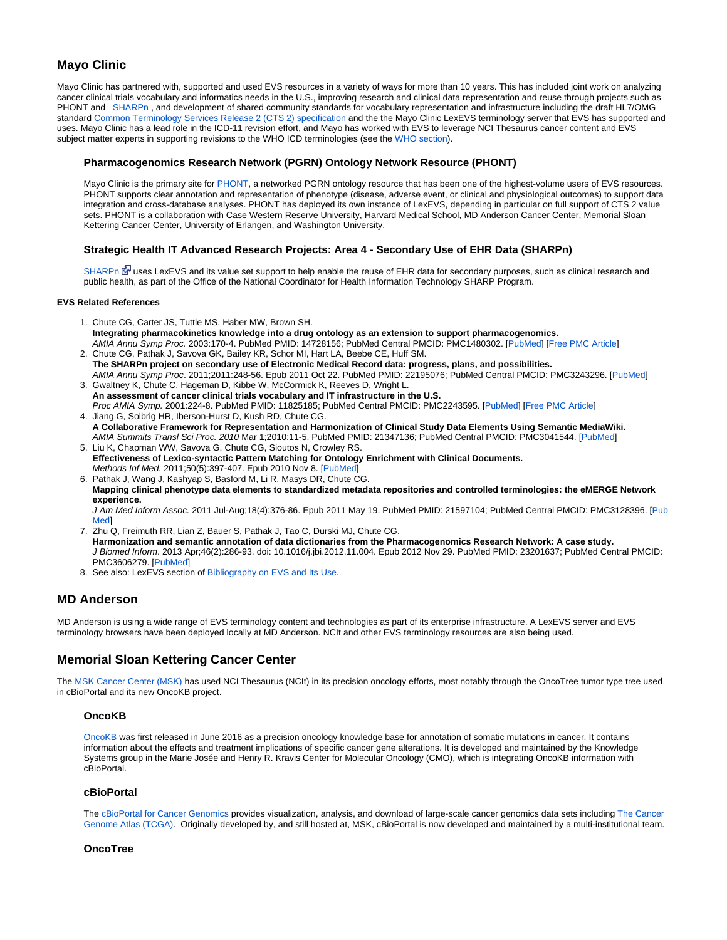# **Mayo Clinic**

Mayo Clinic has partnered with, supported and used EVS resources in a variety of ways for more than 10 years. This has included joint work on analyzing cancer clinical trials vocabulary and informatics needs in the U.S., improving research and clinical data representation and reuse through projects such as PHONT and [SHARPn](https://wiki.nci.nih.gov/display/EVS/14+-+User+Profiles+-+Broader+Community#id-14-UserProfiles-BroaderCommunity-StrategicHealthITAdvancedResearchProjectsArea4-SecondaryUseofEHRDataSHARPn) , and development of shared community standards for vocabulary representation and infrastructure including the draft HL7/OMG standard [Common Terminology Services Release 2 \(CTS 2\) specification](https://wiki.nci.nih.gov/pages/viewpage.action?pageId=63996154) and the the Mayo Clinic LexEVS terminology server that EVS has supported and uses. Mayo Clinic has a lead role in the ICD-11 revision effort, and Mayo has worked with EVS to leverage NCI Thesaurus cancer content and EVS subject matter experts in supporting revisions to the WHO ICD terminologies (see the [WHO section\)](https://wiki.nci.nih.gov/display/EVS/13+-+User+Profiles+-+Government+and+Standards+Organizations#13-UserProfiles-GovernmentandStandardsOrganizations-WorldHealthOrganization%28WHO%29).

### <span id="page-3-0"></span>**Pharmacogenomics Research Network (PGRN) Ontology Network Resource (PHONT)**

Mayo Clinic is the primary site for [PHONT](http://informatics.mayo.edu/phont), a networked PGRN ontology resource that has been one of the highest-volume users of EVS resources. PHONT supports clear annotation and representation of phenotype (disease, adverse event, or clinical and physiological outcomes) to support data integration and cross-database analyses. PHONT has deployed its own instance of LexEVS, depending in particular on full support of CTS 2 value sets. PHONT is a collaboration with Case Western Reserve University, Harvard Medical School, MD Anderson Cancer Center, Memorial Sloan Kettering Cancer Center, University of Erlangen, and Washington University.

### **Strategic Health IT Advanced Research Projects: Area 4 - Secondary Use of EHR Data (SHARPn)**

[SHARPn](http://sharpn.org) E<sup>N</sup> uses LexEVS and its value set support to help enable the reuse of EHR data for secondary purposes, such as clinical research and public health, as part of the Office of the National Coordinator for Health Information Technology SHARP Program.

#### <span id="page-3-1"></span>**EVS Related References**

- 1. Chute CG, Carter JS, Tuttle MS, Haber MW, Brown SH. **Integrating pharmacokinetics knowledge into a drug ontology as an extension to support pharmacogenomics.** AMIA Annu Symp Proc. 2003:170-4. PubMed PMID: 14728156; PubMed Central PMCID: PMC1480302. [\[PubMed](http://www.ncbi.nlm.nih.gov/pubmed/14728156)] [\[Free PMC Article](http://www.ncbi.nlm.nih.gov/pmc/articles/pmid/14728156/?tool=pubmed)]
- 2. Chute CG, Pathak J, Savova GK, Bailey KR, Schor MI, Hart LA, Beebe CE, Huff SM. **The SHARPn project on secondary use of Electronic Medical Record data: progress, plans, and possibilities.** AMIA Annu Symp Proc. 2011;2011:248-56. Epub 2011 Oct 22. PubMed PMID: 22195076; PubMed Central PMCID: PMC3243296. [[PubMed\]](http://www.ncbi.nlm.nih.gov/pubmed/22195076)
- 3. Gwaltney K, Chute C, Hageman D, Kibbe W, McCormick K, Reeves D, Wright L. **An assessment of cancer clinical trials vocabulary and IT infrastructure in the U.S.**
- 4. Jiang G, Solbrig HR, Iberson-Hurst D, Kush RD, Chute CG. Proc AMIA Symp. 2001:224-8. PubMed PMID: 11825185; PubMed Central PMCID: PMC2243595. [[PubMed\]](http://www.ncbi.nlm.nih.gov/pubmed/11825185) [[Free PMC Article\]](http://www.ncbi.nlm.nih.gov/pmc/articles/pmid/11825185/?tool=pubmed)
- 5. Liu K, Chapman WW, Savova G, Chute CG, Sioutos N, Crowley RS. **A Collaborative Framework for Representation and Harmonization of Clinical Study Data Elements Using Semantic MediaWiki.** AMIA Summits Transl Sci Proc. 2010 Mar 1;2010:11-5. PubMed PMID: 21347136; PubMed Central PMCID: PMC3041544. [[PubMed\]](http://www.ncbi.nlm.nih.gov/pubmed/21347136)
- **Effectiveness of Lexico-syntactic Pattern Matching for Ontology Enrichment with Clinical Documents.** Methods Inf Med. 2011;50(5):397-407. Epub 2010 Nov 8. [\[PubMed](http://www.ncbi.nlm.nih.gov/pubmed/21057720)]
- 6. Pathak J, Wang J, Kashyap S, Basford M, Li R, Masys DR, Chute CG. **Mapping clinical phenotype data elements to standardized metadata repositories and controlled terminologies: the eMERGE Network experience.**

J Am Med Inform Assoc. 2011 Jul-Aug;18(4):376-86. Epub 2011 May 19. PubMed PMID: 21597104; PubMed Central PMCID: PMC3128396. [\[Pub](http://www.ncbi.nlm.nih.gov/pubmed/21597104) [Med\]](http://www.ncbi.nlm.nih.gov/pubmed/21597104)

- 7. Zhu Q, Freimuth RR, Lian Z, Bauer S, Pathak J, Tao C, Durski MJ, Chute CG. **Harmonization and semantic annotation of data dictionaries from the Pharmacogenomics Research Network: A case study.** J Biomed Inform. 2013 Apr;46(2):286-93. doi: 10.1016/j.jbi.2012.11.004. Epub 2012 Nov 29. PubMed PMID: 23201637; PubMed Central PMCID: PMC3606279. [\[PubMed](http://www.ncbi.nlm.nih.gov/pubmed/23201637)]
- 8. See also: LexEVS section of [Bibliography on EVS and Its Use.](https://wiki.nci.nih.gov/display/EVS/Bibliography+on+EVS+and+Its+Use)

# <span id="page-3-2"></span>**MD Anderson**

MD Anderson is using a wide range of EVS terminology content and technologies as part of its enterprise infrastructure. A LexEVS server and EVS terminology browsers have been deployed locally at MD Anderson. NCIt and other EVS terminology resources are also being used.

# <span id="page-3-3"></span>**Memorial Sloan Kettering Cancer Center**

<span id="page-3-4"></span>The [MSK Cancer Center \(MSK\)](http://mskcc.org/) has used NCI Thesaurus (NCIt) in its precision oncology efforts, most notably through the OncoTree tumor type tree used in cBioPortal and its new OncoKB project.

### **OncoKB**

[OncoKB](http://oncokb.org/#/) was first released in June 2016 as a precision oncology knowledge base for annotation of somatic mutations in cancer. It contains information about the effects and treatment implications of specific cancer gene alterations. It is developed and maintained by the Knowledge Systems group in the Marie Josée and Henry R. Kravis Center for Molecular Oncology (CMO), which is integrating OncoKB information with cBioPortal.

### <span id="page-3-5"></span>**cBioPortal**

The [cBioPortal for Cancer Genomics](http://www.cbioportal.org/) provides visualization, analysis, and download of large-scale cancer genomics data sets including The Cancer [Genome Atlas \(TCGA\).](https://cancergenome.nih.gov/) Originally developed by, and still hosted at, MSK, cBioPortal is now developed and maintained by a multi-institutional team.

### <span id="page-3-6"></span>**OncoTree**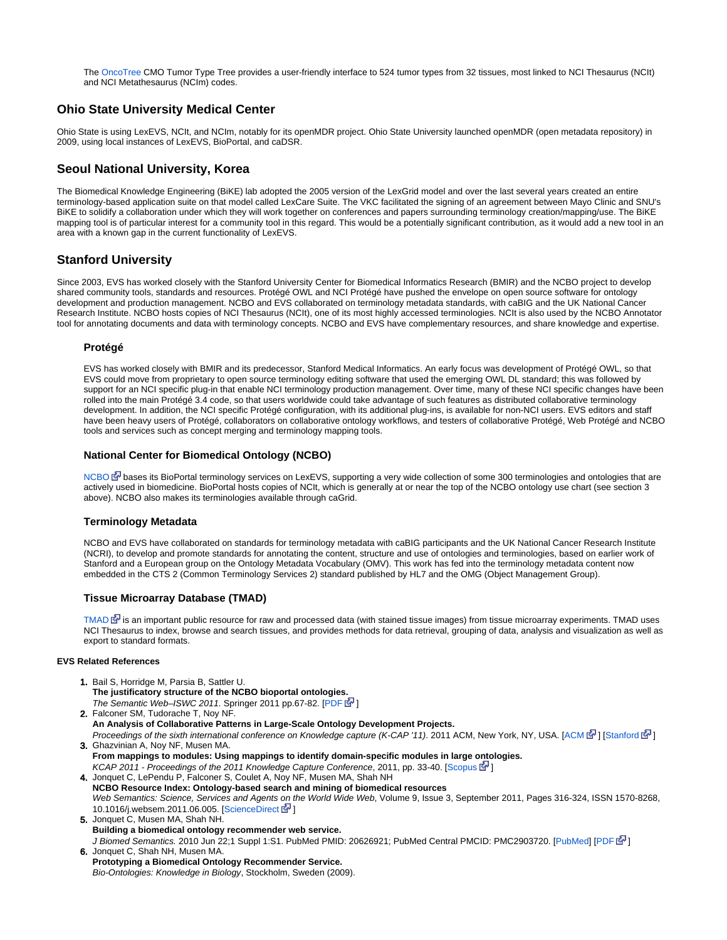The [OncoTree](http://oncotree.mskcc.org/oncotree/) CMO Tumor Type Tree provides a user-friendly interface to 524 tumor types from 32 tissues, most linked to NCI Thesaurus (NCIt) and NCI Metathesaurus (NCIm) codes.

# <span id="page-4-0"></span>**Ohio State University Medical Center**

Ohio State is using LexEVS, NCIt, and NCIm, notably for its openMDR project. Ohio State University launched openMDR (open metadata repository) in 2009, using local instances of LexEVS, BioPortal, and caDSR.

# <span id="page-4-1"></span>**Seoul National University, Korea**

The Biomedical Knowledge Engineering (BiKE) lab adopted the 2005 version of the LexGrid model and over the last several years created an entire terminology-based application suite on that model called LexCare Suite. The VKC facilitated the signing of an agreement between Mayo Clinic and SNU's BiKE to solidify a collaboration under which they will work together on conferences and papers surrounding terminology creation/mapping/use. The BiKE mapping tool is of particular interest for a community tool in this regard. This would be a potentially significant contribution, as it would add a new tool in an area with a known gap in the current functionality of LexEVS.

# <span id="page-4-2"></span>**Stanford University**

Since 2003, EVS has worked closely with the Stanford University Center for Biomedical Informatics Research (BMIR) and the NCBO project to develop shared community tools, standards and resources. Protégé OWL and NCI Protégé have pushed the envelope on open source software for ontology development and production management. NCBO and EVS collaborated on terminology metadata standards, with caBIG and the UK National Cancer Research Institute. NCBO hosts copies of NCI Thesaurus (NCIt), one of its most highly accessed terminologies. NCIt is also used by the NCBO Annotator tool for annotating documents and data with terminology concepts. NCBO and EVS have complementary resources, and share knowledge and expertise.

### <span id="page-4-3"></span>**Protégé**

EVS has worked closely with BMIR and its predecessor, Stanford Medical Informatics. An early focus was development of Protégé OWL, so that EVS could move from proprietary to open source terminology editing software that used the emerging OWL DL standard; this was followed by support for an NCI specific plug-in that enable NCI terminology production management. Over time, many of these NCI specific changes have been rolled into the main Protégé 3.4 code, so that users worldwide could take advantage of such features as distributed collaborative terminology development. In addition, the NCI specific Protégé configuration, with its additional plug-ins, is available for non-NCI users. EVS editors and staff have been heavy users of Protégé, collaborators on collaborative ontology workflows, and testers of collaborative Protégé, Web Protégé and NCBO tools and services such as concept merging and terminology mapping tools.

### <span id="page-4-4"></span>**National Center for Biomedical Ontology (NCBO)**

[NCBO](http://www.bioontology.org/) B [b](http://www.cancer.gov/policies/linking)ases its BioPortal terminology services on LexEVS, supporting a very wide collection of some 300 terminologies and ontologies that are actively used in biomedicine. BioPortal hosts copies of NCIt, which is generally at or near the top of the NCBO ontology use chart (see section 3 above). NCBO also makes its terminologies available through caGrid.

### <span id="page-4-5"></span>**Terminology Metadata**

NCBO and EVS have collaborated on standards for terminology metadata with caBIG participants and the UK National Cancer Research Institute (NCRI), to develop and promote standards for annotating the content, structure and use of ontologies and terminologies, based on earlier work of Stanford and a European group on the Ontology Metadata Vocabulary (OMV). This work has fed into the terminology metadata content now embedded in the CTS 2 (Common Terminology Services 2) standard published by HL7 and the OMG (Object Management Group).

### <span id="page-4-6"></span>**Tissue Microarray Database (TMAD)**

[TMAD](http://tma.im/)  $\mathbb{F}$  is an important public resource for raw and processed data (with stained tissue images) from tissue microarray experiments. TMAD uses NCI Thesaurus to index, browse and search tissues, and provides methods for data retrieval, grouping of data, analysis and visualization as well as export to standard formats.

### **EVS Related References**

- 1. Bail S, Horridge M, Parsia B, Sattler U. **The justificatory structure of the NCBO bioportal ontologies.** The Semantic Web-ISWC 2011. Springer 2011 pp.67-82. [[PDF](http://iswc2011.semanticweb.org/fileadmin/iswc/Papers/Research_Paper/10/70310065.pdf) 图]
- 2. Falconer SM, Tudorache T, Noy NF. **An Analysis of Collaborative Patterns in Large-Scale Ontology Development Projects.** Proceedings of the sixth international conference on Knowledge capture (K-CAP '11). 2011 [ACM](http://dl.acm.org/citation.cfm?id=1999682), New York, NY, USA. [ACM ᡗ [\]](http://www.cancer.gov/policies/linking) [\[Stanford](http://web.stanford.edu/%7Enatalya/papers/p25-falconer.pdf) 区 ]
- 3. Ghazvinian A, Noy NF, Musen MA. **From mappings to modules: Using mappings to identify domain-specific modules in large ontologies.** KCAP 2011 - Proceedings of the 2011 Knowledge Capture Conference, 2011, pp. 33-40. [[Scopus](http://www.scopus.com/inward/record.url?eid=2-s2.0-79960276657&partnerID=40&md5=89ee8ee5dc29c216c12b55745959a1c4)  $\mathbb{N}$ [\]](http://www.cancer.gov/policies/linking)

4. Jonquet C, LePendu P, Falconer S, Coulet A, Noy NF, Musen MA, Shah NH **NCBO Resource Index: Ontology-based search and mining of biomedical resources** Web Semantics: Science, Services and Agents on the World Wide Web, Volume 9, Issue 3, September 2011, Pages 316-324, ISSN 1570-8268, 10.1016/j.websem.2011.06.005. [[ScienceDirect](http://www.sciencedirect.com/science/article/pii/S1570826811000485) **[\]](http://www.cancer.gov/policies/linking)** 

- 5. Jonquet C, Musen MA, Shah NH. 6. **Building a biomedical ontology recommender web service.** J Biomed Semantics. 2010 Jun 22;1 Suppl 1:S1. PubMed PMID: 20626921; PubMed Central PMCID: PMC2903720. [\[PubMed](http://www.ncbi.nlm.nih.gov/pubmed/20626921)] [\[PDF](http://www.jbiomedsem.com/content/pdf/2041-1480-1-S1-S1.pdf) 图] Jonquet C, Shah NH, Musen MA.
- **Prototyping a Biomedical Ontology Recommender Service.** Bio-Ontologies: Knowledge in Biology, Stockholm, Sweden (2009).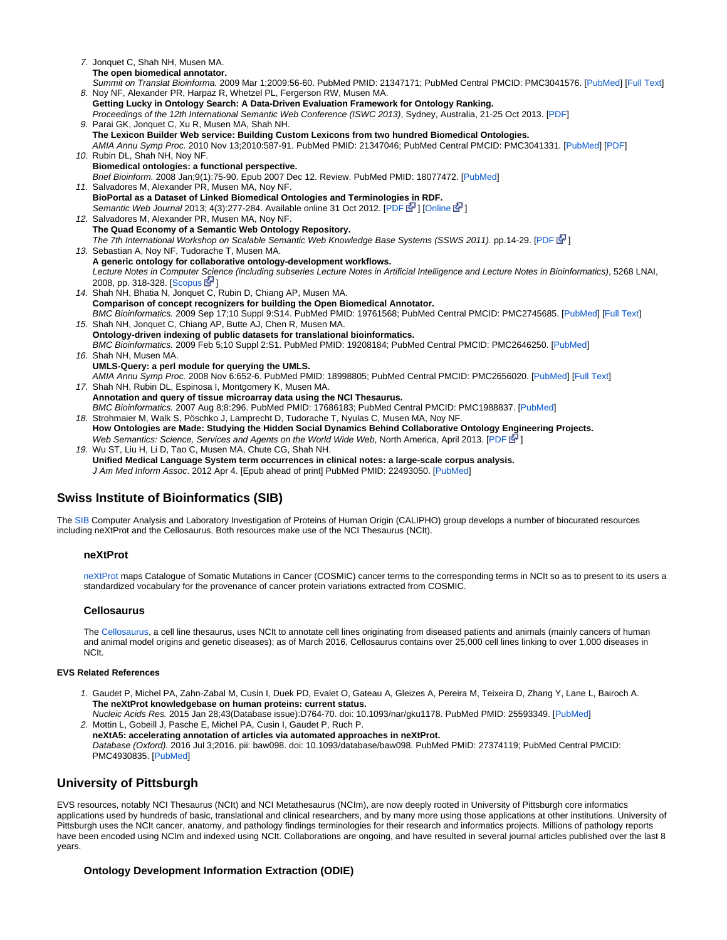7. Jonquet C, Shah NH, Musen MA. 8. Noy NF, Alexander PR, Harpaz R, Whetzel PL, Fergerson RW, Musen MA. 9. Parai GK, Jonquet C, Xu R, Musen MA, Shah NH. 10. Rubin DL, Shah NH, Noy NF. 11. Salvadores M, Alexander PR, Musen MA, Noy NF. 12. Salvadores M, Alexander PR, Musen MA, Noy NF. 13. Sebastian A, Noy NF, Tudorache T, Musen MA. 14. Shah NH, Bhatia N, Jonquet C, Rubin D, Chiang AP, Musen MA. 15. Shah NH, Jonquet C, Chiang AP, Butte AJ, Chen R, Musen MA. 16. Shah NH, Musen MA. 17. Shah NH, Rubin DL, Espinosa I, Montgomery K, Musen MA. 18. Strohmaier M, Walk S, Pöschko J, Lamprecht D, Tudorache T, Nyulas C, Musen MA, Noy NF. 19. Wu ST, Liu H, Li D, Tao C, Musen MA, Chute CG, Shah NH. **The open biomedical annotator.** Summit on Translat Bioinforma. 2009 Mar 1;2009:56-60. PubMed PMID: 21347171; PubMed Central PMCID: PMC3041576. [\[PubMed](http://www.ncbi.nlm.nih.gov/pubmed/21347171)] [[Full Text](http://www.ncbi.nlm.nih.gov/pmc/articles/PMC3041576/?tool=pubmed)] **Getting Lucky in Ontology Search: A Data-Driven Evaluation Framework for Ontology Ranking.** Proceedings of the 12th International Semantic Web Conference (ISWC 2013), Sydney, Australia, 21-25 Oct 2013. [\[PDF](http://www.stanford.edu/%7Enatalya/papers/iswc2013_bpSearch.pdf)] **The Lexicon Builder Web service: Building Custom Lexicons from two hundred Biomedical Ontologies.** AMIA Annu Symp Proc. 2010 Nov 13;2010:587-91. PubMed PMID: 21347046; PubMed Central PMCID: PMC3041331. [[PubMed\]](http://www.ncbi.nlm.nih.gov/pubmed/21347046) [\[PDF](http://www.ncbi.nlm.nih.gov/pmc/articles/PMC3041331/pdf/amia-2010_sympproc_0587.pdf)] **Biomedical ontologies: a functional perspective.** Brief Bioinform. 2008 Jan;9(1):75-90. Epub 2007 Dec 12. Review. PubMed PMID: 18077472. [[PubMed\]](http://www.ncbi.nlm.nih.gov/pubmed/18077472) **BioPortal as a Dataset of Linked Biomedical Ontologies and Terminologies in RDF.** Semantic Web Journal 2013; 4(3):277-284. Available online 31 Oct 2012. [\[PDF](http://www.semantic-web-journal.net/sites/default/files/swj278_4.pdf) 图[\]](http://www.cancer.gov/policies/linking) [\[Online](http://iospress.metapress.com/content/4mut1t3p76662806/?p=554fa16e20074e95aa8c251b47a4faa3&pi=0) 图] **The Quad Economy of a Semantic Web Ontology Repository.** The 7th International Workshop on Scalable Semantic Web Knowledge Base Systems (SSWS 2011). pp.14-29. [[PDF](http://iswc2011.semanticweb.org/fileadmin/iswc/Papers/Workshops/SSWS/Salvadores-et-all-SSWS2011.pdf) 图[\]](http://www.cancer.gov/policies/linking) **A generic ontology for collaborative ontology-development workflows.** Lecture Notes in Computer Science (including subseries Lecture Notes in Artificial Intelligence and Lecture Notes in Bioinformatics), 5268 LNAI, 2008, pp. 318-328. [\[Scopus](http://www.scopus.com/inward/record.url?eid=2-s2.0-56649105039&partnerID=40&md5=3ee1963c5952f19952e28d3e049f3dd4) **1**[\]](http://www.cancer.gov/policies/linking) **Comparison of concept recognizers for building the Open Biomedical Annotator.** BMC Bioinformatics. 2009 Sep 17;10 Suppl 9:S14. PubMed PMID: 19761568; PubMed Central PMCID: PMC2745685. [\[PubMed](http://www.ncbi.nlm.nih.gov/pubmed/19761568)] [[Full Text](http://www.biomedcentral.com/1471-2105/10/S9/S14)] **Ontology-driven indexing of public datasets for translational bioinformatics.** BMC Bioinformatics. 2009 Feb 5;10 Suppl 2:S1. PubMed PMID: 19208184; PubMed Central PMCID: PMC2646250. [[PubMed](http://www.ncbi.nlm.nih.gov/pubmed/19208184)] **UMLS-Query: a perl module for querying the UMLS.** AMIA Annu Symp Proc. 2008 Nov 6:652-6. PubMed PMID: 18998805; PubMed Central PMCID: PMC2656020. [[PubMed\]](http://www.ncbi.nlm.nih.gov/pubmed/18998805) [\[Full Text\]](http://www.ncbi.nlm.nih.gov/pmc/articles/PMC2656020/?tool=pubmed) **Annotation and query of tissue microarray data using the NCI Thesaurus.** BMC Bioinformatics. 2007 Aug 8;8:296. PubMed PMID: 17686183; PubMed Central PMCID: PMC1988837. [[PubMed\]](http://www.ncbi.nlm.nih.gov/pubmed/17686183) **How Ontologies are Made: Studying the Hidden Social Dynamics Behind Collaborative Ontology Engineering Projects.** Web Semantics: Science, Services and Agents on the World Wide Web, North America, April 2013. [[PDF](http://mx1.websemanticsjournal.org/index.php/ps/article/download/333/341) E<sup>n</sup>[\]](http://www.cancer.gov/policies/linking) **Unified Medical Language System term occurrences in clinical notes: a large-scale corpus analysis.** J Am Med Inform Assoc. 2012 Apr 4. [Epub ahead of print] PubMed PMID: 22493050. [[PubMed\]](http://www.ncbi.nlm.nih.gov/pubmed/22493050)

# <span id="page-5-0"></span>**Swiss Institute of Bioinformatics (SIB)**

<span id="page-5-1"></span>The [SIB](http://www.isb-sib.ch/) Computer Analysis and Laboratory Investigation of Proteins of Human Origin (CALIPHO) group develops a number of biocurated resources including neXtProt and the Cellosaurus. Both resources make use of the NCI Thesaurus (NCIt).

### **neXtProt**

[neXtProt m](http://www.nextprot.org/)aps Catalogue of Somatic Mutations in Cancer (COSMIC) cancer terms to the corresponding terms in NCIt so as to present to its users a standardized vocabulary for the provenance of cancer protein variations extracted from COSMIC.

### <span id="page-5-2"></span>**Cellosaurus**

The [Cellosaurus](http://web.expasy.org/cellosaurus), a cell line thesaurus, uses NCIt to annotate cell lines originating from diseased patients and animals (mainly cancers of human and animal model origins and genetic diseases); as of March 2016, Cellosaurus contains over 25,000 cell lines linking to over 1,000 diseases in NCIt.

#### **EVS Related References**

- 1. Gaudet P, Michel PA, Zahn-Zabal M, Cusin I, Duek PD, Evalet O, Gateau A, Gleizes A, Pereira M, Teixeira D, Zhang Y, Lane L, Bairoch A. **The neXtProt knowledgebase on human proteins: current status.**
- 2. Mottin L, Gobeill J, Pasche E, Michel PA, Cusin I, Gaudet P, Ruch P. Nucleic Acids Res. 2015 Jan 28;43(Database issue):D764-70. doi: 10.1093/nar/gku1178. PubMed PMID: 25593349. [[PubMed\]](http://www.ncbi.nlm.nih.gov/pubmed/25593349) **neXtA5: accelerating annotation of articles via automated approaches in neXtProt.**

Database (Oxford). 2016 Jul 3;2016. pii: baw098. doi: 10.1093/database/baw098. PubMed PMID: 27374119; PubMed Central PMCID: PMC4930835. [\[PubMed](https://www.ncbi.nlm.nih.gov/pubmed/27374119)]

# <span id="page-5-3"></span>**University of Pittsburgh**

EVS resources, notably NCI Thesaurus (NCIt) and NCI Metathesaurus (NCIm), are now deeply rooted in University of Pittsburgh core informatics applications used by hundreds of basic, translational and clinical researchers, and by many more using those applications at other institutions. University of Pittsburgh uses the NCIt cancer, anatomy, and pathology findings terminologies for their research and informatics projects. Millions of pathology reports have been encoded using NCIm and indexed using NCIt. Collaborations are ongoing, and have resulted in several journal articles published over the last 8 years.

### <span id="page-5-4"></span>**Ontology Development Information Extraction (ODIE)**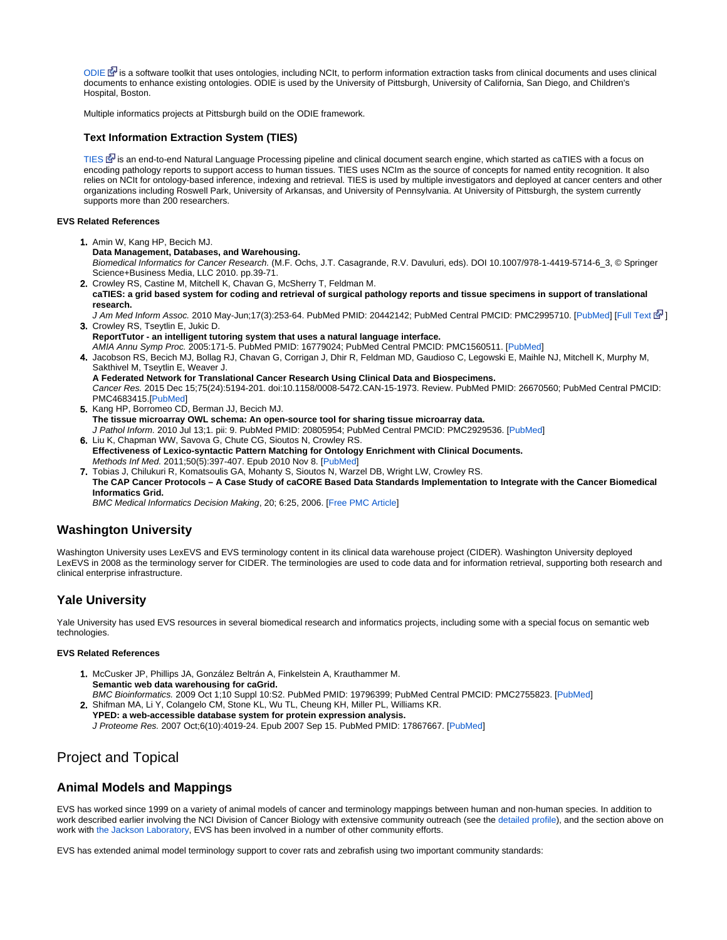[ODIE](http://www.bioontology.org/ODIE) E<sup>T</sup> [i](http://www.cancer.gov/policies/linking)s a software toolkit that uses ontologies, including NCIt, to perform information extraction tasks from clinical documents and uses clinical documents to enhance existing ontologies. ODIE is used by the University of Pittsburgh, University of California, San Diego, and Children's Hospital, Boston.

Multiple informatics projects at Pittsburgh build on the ODIE framework.

### <span id="page-6-0"></span>**Text Information Extraction System (TIES)**

[TIES](http://ties.dbmi.pitt.edu/) EN [i](http://www.cancer.gov/policies/linking)s an end-to-end Natural Language Processing pipeline and clinical document search engine, which started as caTIES with a focus on encoding pathology reports to support access to human tissues. TIES uses NCIm as the source of concepts for named entity recognition. It also relies on NCIt for ontology-based inference, indexing and retrieval. TIES is used by multiple investigators and deployed at cancer centers and other organizations including Roswell Park, University of Arkansas, and University of Pennsylvania. At University of Pittsburgh, the system currently supports more than 200 researchers.

#### **EVS Related References**

- 1. Amin W, Kang HP, Becich MJ. 2. Crowley RS, Castine M, Mitchell K, Chavan G, McSherry T, Feldman M. **Data Management, Databases, and Warehousing.** Biomedical Informatics for Cancer Research. (M.F. Ochs, J.T. Casagrande, R.V. Davuluri, eds). DOI 10.1007/978-1-4419-5714-6\_3, © Springer Science+Business Media, LLC 2010. pp.39-71.
- **caTIES: a grid based system for coding and retrieval of surgical pathology reports and tissue specimens in support of translational research.**
- 3. Crowley RS, Tseytlin E, Jukic D. J Am Med Inform Assoc. 2010 May-Jun;17(3):253-64. PubMed PMID: 20442142; PubMed Central PMCID: PMC2995710. [[PubMed\]](http://www.ncbi.nlm.nih.gov/pubmed/20442142) [[Full Text](http://jamia.bmj.com/cgi/pmidlookup?view=long&pmid=20442142) 图]
- **ReportTutor an intelligent tutoring system that uses a natural language interface.** AMIA Annu Symp Proc. 2005:171-5. PubMed PMID: 16779024; PubMed Central PMCID: PMC1560511. [\[PubMed](http://www.ncbi.nlm.nih.gov/pubmed/16779024)]
- 4. Jacobson RS, Becich MJ, Bollag RJ, Chavan G, Corrigan J, Dhir R, Feldman MD, Gaudioso C, Legowski E, Maihle NJ, Mitchell K, Murphy M, Sakthivel M, Tseytlin E, Weaver J. **A Federated Network for Translational Cancer Research Using Clinical Data and Biospecimens.**
- Cancer Res. 2015 Dec 15;75(24):5194-201. doi:10.1158/0008-5472.CAN-15-1973. Review. PubMed PMID: 26670560; PubMed Central PMCID: PMC4683415.[\[PubMed\]](http://www.ncbi.nlm.nih.gov/pubmed/26670560)
- 5. Kang HP, Borromeo CD, Berman JJ, Becich MJ. **The tissue microarray OWL schema: An open-source tool for sharing tissue microarray data.** J Pathol Inform. 2010 Jul 13;1. pii: 9. PubMed PMID: 20805954; PubMed Central PMCID: PMC2929536. [\[PubMed\]](http://www.ncbi.nlm.nih.gov/pubmed/20805954)
- 6. Liu K, Chapman WW, Savova G, Chute CG, Sioutos N, Crowley RS. **Effectiveness of Lexico-syntactic Pattern Matching for Ontology Enrichment with Clinical Documents.** Methods Inf Med. 2011;50(5):397-407. Epub 2010 Nov 8. [\[PubMed](http://www.ncbi.nlm.nih.gov/pubmed/21057720)]
- 7. Tobias J, Chilukuri R, Komatsoulis GA, Mohanty S, Sioutos N, Warzel DB, Wright LW, Crowley RS. **The CAP Cancer Protocols – A Case Study of caCORE Based Data Standards Implementation to Integrate with the Cancer Biomedical Informatics Grid.**

BMC Medical Informatics Decision Making, 20; 6:25, 2006. [[Free PMC Article\]](http://www.ncbi.nlm.nih.gov/pmc/articles/PMC1524939/?tool=pubmed)

### <span id="page-6-1"></span>**Washington University**

Washington University uses LexEVS and EVS terminology content in its clinical data warehouse project (CIDER). Washington University deployed LexEVS in 2008 as the terminology server for CIDER. The terminologies are used to code data and for information retrieval, supporting both research and clinical enterprise infrastructure.

# <span id="page-6-2"></span>**Yale University**

Yale University has used EVS resources in several biomedical research and informatics projects, including some with a special focus on semantic web technologies.

#### **EVS Related References**

- 1. McCusker JP, Phillips JA, González Beltrán A, Finkelstein A, Krauthammer M. **Semantic web data warehousing for caGrid.** BMC Bioinformatics. 2009 Oct 1;10 Suppl 10:S2. PubMed PMID: 19796399; PubMed Central PMCID: PMC2755823. [\[PubMed](http://www.ncbi.nlm.nih.gov/pubmed/19796399)]
- 2. Shifman MA, Li Y, Colangelo CM, Stone KL, Wu TL, Cheung KH, Miller PL, Williams KR. **YPED: a web-accessible database system for protein expression analysis.**
	- J Proteome Res. 2007 Oct;6(10):4019-24. Epub 2007 Sep 15. PubMed PMID: 17867667. [[PubMed\]](http://www.ncbi.nlm.nih.gov/pubmed/17867667)

# <span id="page-6-3"></span>Project and Topical

# <span id="page-6-4"></span>**Animal Models and Mappings**

EVS has worked since 1999 on a variety of animal models of cancer and terminology mappings between human and non-human species. In addition to work described earlier involving the NCI Division of Cancer Biology with extensive community outreach (see the [detailed profile\)](https://wiki.nci.nih.gov/display/EVS/11+-+User+Profiles+-+NCI#11-UserProfiles-NCI-NCIDivisionofCancerBiology%28DCB%29), and the section above on work with [the Jackson Laboratory](https://wiki.nci.nih.gov/pages/viewpage.action?pageId=50694982#14-UserProfiles-Community-JacksonLaboratory), EVS has been involved in a number of other community efforts.

EVS has extended animal model terminology support to cover rats and zebrafish using two important community standards: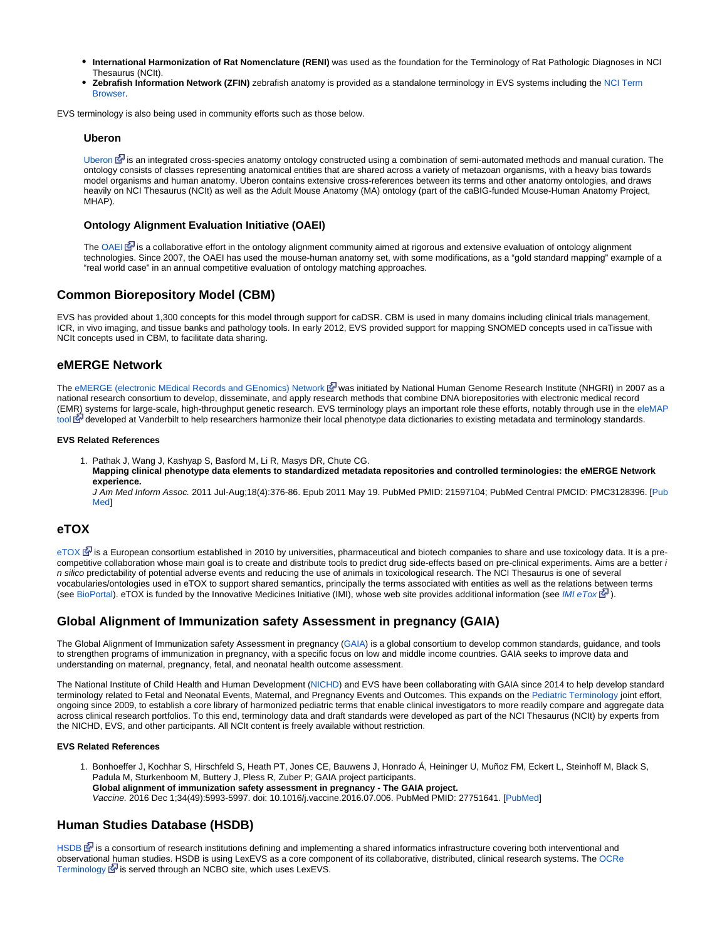- **International Harmonization of Rat Nomenclature (RENI)** was used as the foundation for the Terminology of Rat Pathologic Diagnoses in NCI Thesaurus (NCIt).
- **Zebrafish Information Network (ZFIN)** zebrafish anatomy is provided as a standalone terminology in EVS systems including the [NCI Term](http://nciterms.nci.nih.gov/ncitbrowser/pages/vocabulary.jsf?dictionary=Zebrafish)  [Browser.](http://nciterms.nci.nih.gov/ncitbrowser/pages/vocabulary.jsf?dictionary=Zebrafish)

<span id="page-7-0"></span>EVS terminology is also being used in community efforts such as those below.

#### **Uberon**

[Uberon](http://uberon.org/)  $\mathbb{F}$  [i](http://www.cancer.gov/policies/linking)s an integrated cross-species anatomy ontology constructed using a combination of semi-automated methods and manual curation. The ontology consists of classes representing anatomical entities that are shared across a variety of metazoan organisms, with a heavy bias towards model organisms and human anatomy. Uberon contains extensive cross-references between its terms and other anatomy ontologies, and draws heavily on NCI Thesaurus (NCIt) as well as the Adult Mouse Anatomy (MA) ontology (part of the caBIG-funded Mouse-Human Anatomy Project, MHAP).

### <span id="page-7-1"></span>**Ontology Alignment Evaluation Initiative (OAEI)**

The [OAEI](http://oaei.ontologymatching.org/)  $\mathbb{E}^{\Gamma}$  is a collaborative effort in the ontology alignment community aimed at rigorous and extensive evaluation of ontology alignment technologies. Since 2007, the OAEI has used the mouse-human anatomy set, with some modifications, as a "gold standard mapping" example of a "real world case" in an annual competitive evaluation of ontology matching approaches.

# <span id="page-7-2"></span>**Common Biorepository Model (CBM)**

EVS has provided about 1,300 concepts for this model through support for caDSR. CBM is used in many domains including clinical trials management, ICR, in vivo imaging, and tissue banks and pathology tools. In early 2012, EVS provided support for mapping SNOMED concepts used in caTissue with NCIt concepts used in CBM, to facilitate data sharing.

### <span id="page-7-3"></span>**eMERGE Network**

The [eMERGE \(electronic MEdical Records and GEnomics\) Network](http://www.gwas.net) **E** was initiated by National Human Genome Research Institute (NHGRI) in 2007 as a national research consortium to develop, disseminate, and apply research methods that combine DNA biorepositories with electronic medical record (EMR) systems for large-scale, high-throughput genetic research. EVS terminology plays an important role these efforts, notably through use in the [eleMAP](https://victr.vanderbilt.edu/eleMAP/) [tool](https://victr.vanderbilt.edu/eleMAP/) 函 [d](http://www.cancer.gov/policies/linking)eveloped at Vanderbilt to help researchers harmonize their local phenotype data dictionaries to existing metadata and terminology standards.

#### **EVS Related References**

- 1. Pathak J, Wang J, Kashyap S, Basford M, Li R, Masys DR, Chute CG.
	- **Mapping clinical phenotype data elements to standardized metadata repositories and controlled terminologies: the eMERGE Network experience.**

J Am Med Inform Assoc. 2011 Jul-Aug;18(4):376-86. Epub 2011 May 19. PubMed PMID: 21597104; PubMed Central PMCID: PMC3128396. [\[Pub](http://www.ncbi.nlm.nih.gov/pubmed/21597104) [Med\]](http://www.ncbi.nlm.nih.gov/pubmed/21597104)

### <span id="page-7-4"></span>**eTOX**

 $e$ TOX  $\mathbb{F}$  is a European consortium established in 2010 by universities, pharmaceutical and biotech companies to share and use toxicology data. It is a precompetitive collaboration whose main goal is to create and distribute tools to predict drug side-effects based on pre-clinical experiments. Aims are a better i n silico predictability of potential adverse events and reducing the use of animals in toxicological research. The NCI Thesaurus is one of several vocabularies/ontologies used in eTOX to support shared semantics, principally the terms associated with entities as well as the relations between terms (see [BioPortal](http://bioportal.bioontology.org/projects/eTOX)). eTOX is funded by the Innovative Medicines Initiative (IMI), whose web site provides additional information (see [IMI eTox](http://www.imi.europa.eu/content/etox)  $\mathbb{F}$ ).

### <span id="page-7-5"></span>**Global Alignment of Immunization safety Assessment in pregnancy (GAIA)**

The Global Alignment of Immunization safety Assessment in pregnancy ([GAIA\)](http://gaia-consortium.net/) is a global consortium to develop common standards, guidance, and tools to strengthen programs of immunization in pregnancy, with a specific focus on low and middle income countries. GAIA seeks to improve data and understanding on maternal, pregnancy, fetal, and neonatal health outcome assessment.

The National Institute of Child Health and Human Development ([NICHD\)](http://www.nichd.nih.gov/) and EVS have been collaborating with GAIA since 2014 to help develop standard terminology related to Fetal and Neonatal Events, Maternal, and Pregnancy Events and Outcomes. This expands on the [Pediatric Terminology](http://www.cancer.gov/research/resources/terminology/pediatric) joint effort, ongoing since 2009, to establish a core library of harmonized pediatric terms that enable clinical investigators to more readily compare and aggregate data across clinical research portfolios. To this end, terminology data and draft standards were developed as part of the NCI Thesaurus (NCIt) by experts from the NICHD, EVS, and other participants. All NCIt content is freely available without restriction.

#### **EVS Related References**

1. Bonhoeffer J, Kochhar S, Hirschfeld S, Heath PT, Jones CE, Bauwens J, Honrado Á, Heininger U, Muñoz FM, Eckert L, Steinhoff M, Black S, Padula M, Sturkenboom M, Buttery J, Pless R, Zuber P; GAIA project participants. **Global alignment of immunization safety assessment in pregnancy - The GAIA project.** Vaccine. 2016 Dec 1;34(49):5993-5997. doi: 10.1016/j.vaccine.2016.07.006. PubMed PMID: 27751641. [\[PubMed](https://www.ncbi.nlm.nih.gov/pubmed/27751641)]

# <span id="page-7-6"></span>**Human Studies Database (HSDB)**

[HSDB](http://hsdbwiki.org/)  $\mathbb{F}$  [i](http://www.cancer.gov/policies/linking)s a consortium of research institutions defining and implementing a shared informatics infrastructure covering both interventional and observational human studies. HSDB is using LexEVS as a core component of its collaborative, distributed, clinical research systems. The [OCRe](http://code.google.com/p/ontology-of-clinical-research/)  [Terminology](http://code.google.com/p/ontology-of-clinical-research/)  $\bar{S}$  [i](http://www.cancer.gov/policies/linking)s served through an NCBO site, which uses LexEVS.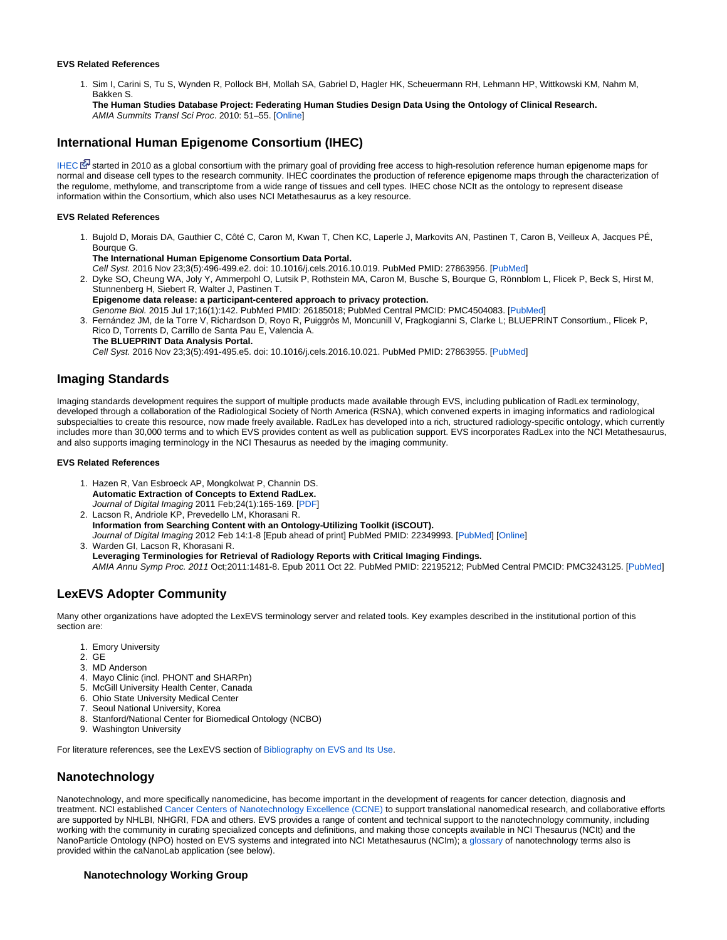#### **EVS Related References**

1. Sim I, Carini S, Tu S, Wynden R, Pollock BH, Mollah SA, Gabriel D, Hagler HK, Scheuermann RH, Lehmann HP, Wittkowski KM, Nahm M, Bakken S.

**The Human Studies Database Project: Federating Human Studies Design Data Using the Ontology of Clinical Research.** AMIA Summits Transl Sci Proc. 2010: 51–55. [[Online](http://www.ncbi.nlm.nih.gov/pmc/articles/PMC3041546/)]

# <span id="page-8-0"></span>**International Human Epigenome Consortium (IHEC)**

[IHEC](http://ihec-epigenomes.org/) E [s](http://www.cancer.gov/policies/linking)tarted in 2010 as a global consortium with the primary goal of providing free access to high-resolution reference human epigenome maps for normal and disease cell types to the research community. IHEC coordinates the production of reference epigenome maps through the characterization of the regulome, methylome, and transcriptome from a wide range of tissues and cell types. IHEC chose NCIt as the ontology to represent disease information within the Consortium, which also uses NCI Metathesaurus as a key resource.

#### **EVS Related References**

- 1. Bujold D, Morais DA, Gauthier C, Côté C, Caron M, Kwan T, Chen KC, Laperle J, Markovits AN, Pastinen T, Caron B, Veilleux A, Jacques PÉ, Bourque G.
- 2. Dyke SO, Cheung WA, Joly Y, Ammerpohl O, Lutsik P, Rothstein MA, Caron M, Busche S, Bourque G, Rönnblom L, Flicek P, Beck S, Hirst M, **The International Human Epigenome Consortium Data Portal.** Cell Syst. 2016 Nov 23;3(5):496-499.e2. doi: 10.1016/j.cels.2016.10.019. PubMed PMID: 27863956. [[PubMed\]](https://www.ncbi.nlm.nih.gov/pubmed/27863956) Stunnenberg H, Siebert R, Walter J, Pastinen T. **Epigenome data release: a participant-centered approach to privacy protection.** Genome Biol. 2015 Jul 17;16(1):142. PubMed PMID: 26185018; PubMed Central PMCID: PMC4504083. [[PubMed\]](http://www.ncbi.nlm.nih.gov/pubmed/26185018)
- 3. Fernández JM, de la Torre V, Richardson D, Royo R, Puiggròs M, Moncunill V, Fragkogianni S, Clarke L; BLUEPRINT Consortium., Flicek P, Rico D, Torrents D, Carrillo de Santa Pau E, Valencia A. **The BLUEPRINT Data Analysis Portal.** Cell Syst. 2016 Nov 23;3(5):491-495.e5. doi: 10.1016/j.cels.2016.10.021. PubMed PMID: 27863955. [[PubMed\]](https://www.ncbi.nlm.nih.gov/pubmed/27863955)

# <span id="page-8-1"></span>**Imaging Standards**

Imaging standards development requires the support of multiple products made available through EVS, including publication of RadLex terminology, developed through a collaboration of the Radiological Society of North America (RSNA), which convened experts in imaging informatics and radiological subspecialties to create this resource, now made freely available. RadLex has developed into a rich, structured radiology-specific ontology, which currently includes more than 30,000 terms and to which EVS provides content as well as publication support. EVS incorporates RadLex into the NCI Metathesaurus, and also supports imaging terminology in the NCI Thesaurus as needed by the imaging community.

#### **EVS Related References**

- 1. Hazen R, Van Esbroeck AP, Mongkolwat P, Channin DS. **Automatic Extraction of Concepts to Extend RadLex.** Journal of Digital Imaging 2011 Feb;24(1):165-169. [[PDF\]](http://www.springerlink.com/content/p889312g07534661/)
- 2. Lacson R, Andriole KP, Prevedello LM, Khorasani R. **Information from Searching Content with an Ontology-Utilizing Toolkit (iSCOUT).** Journal of Digital Imaging 2012 Feb 14:1-8 [Epub ahead of print] PubMed PMID: 22349993. [\[PubMed](http://www.ncbi.nlm.nih.gov/pubmed/22349993)] [\[Online](http://dx.doi.org/10.1007/s10278-012-9463-9)]
- 3. Warden GI, Lacson R, Khorasani R. **Leveraging Terminologies for Retrieval of Radiology Reports with Critical Imaging Findings.** AMIA Annu Symp Proc. 2011 Oct;2011:1481-8. Epub 2011 Oct 22. PubMed PMID: 22195212; PubMed Central PMCID: PMC3243125. [[PubMed](http://www.ncbi.nlm.nih.gov/pubmed/22195212)]

# <span id="page-8-2"></span>**LexEVS Adopter Community**

Many other organizations have adopted the LexEVS terminology server and related tools. Key examples described in the institutional portion of this section are:

- 1. Emory University
- 2. GE
- 3. MD Anderson
- 4. Mayo Clinic (incl. PHONT and SHARPn)
- 5. McGill University Health Center, Canada
- 6. Ohio State University Medical Center
- 7. Seoul National University, Korea
- 8. Stanford/National Center for Biomedical Ontology (NCBO)
- 9. Washington University

For literature references, see the LexEVS section of [Bibliography on EVS and Its Use](https://wiki.nci.nih.gov/display/EVS/Bibliography+on+EVS+and+Its+Use).

# <span id="page-8-3"></span>**Nanotechnology**

Nanotechnology, and more specifically nanomedicine, has become important in the development of reagents for cancer detection, diagnosis and treatment. NCI established [Cancer Centers of Nanotechnology Excellence \(CCNE\)](http://nano.cancer.gov/action/programs/ccne.asp) to support translational nanomedical research, and collaborative efforts are supported by NHLBI, NHGRI, FDA and others. EVS provides a range of content and technical support to the nanotechnology community, including working with the community in curating specialized concepts and definitions, and making those concepts available in NCI Thesaurus (NCIt) and the NanoParticle Ontology (NPO) hosted on EVS systems and integrated into NCI Metathesaurus (NCIm); a [glossary](https://ncisvn.nci.nih.gov/svn/docs/trunk/calab/caNanoLabCDEandTerminologyDevelopment/caNanoLab_Glossary.pdf) of nanotechnology terms also is provided within the caNanoLab application (see below).

### <span id="page-8-4"></span>**Nanotechnology Working Group**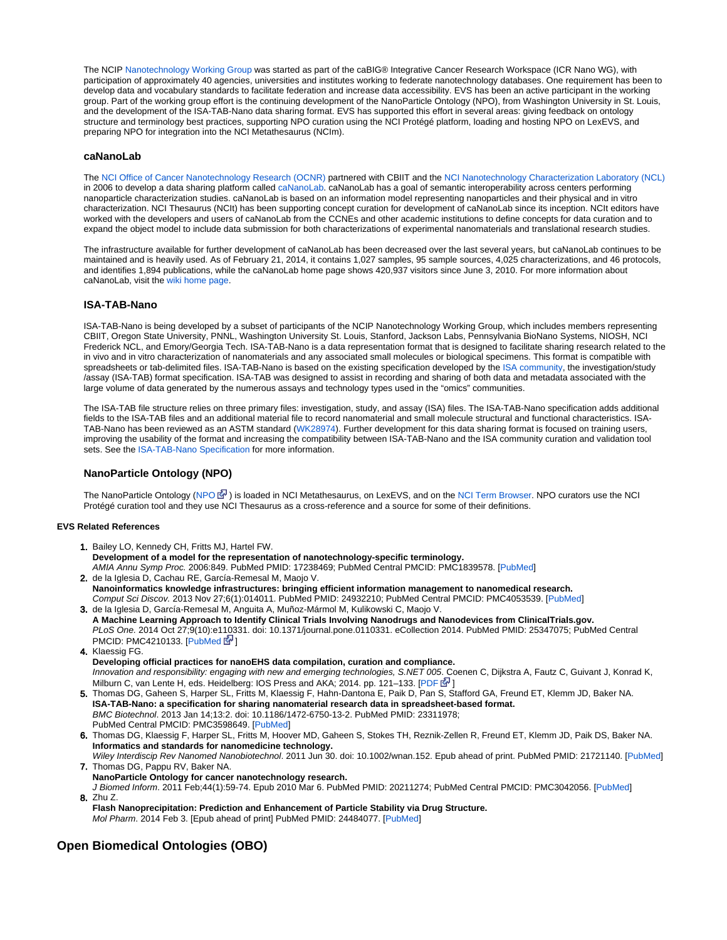The NCIP [Nanotechnology Working Group](https://wiki.nci.nih.gov/display/ICR/Nanotechnology+Working+Group) was started as part of the caBIG® Integrative Cancer Research Workspace (ICR Nano WG), with participation of approximately 40 agencies, universities and institutes working to federate nanotechnology databases. One requirement has been to develop data and vocabulary standards to facilitate federation and increase data accessibility. EVS has been an active participant in the working group. Part of the working group effort is the continuing development of the NanoParticle Ontology (NPO), from Washington University in St. Louis, and the development of the ISA-TAB-Nano data sharing format. EVS has supported this effort in several areas: giving feedback on ontology structure and terminology best practices, supporting NPO curation using the NCI Protégé platform, loading and hosting NPO on LexEVS, and preparing NPO for integration into the NCI Metathesaurus (NCIm).

#### <span id="page-9-0"></span>**caNanoLab**

The [NCI Office of Cancer Nanotechnology Research \(OCNR\)](http://cssi.cancer.gov/nano.asp) partnered with CBIIT and the [NCI Nanotechnology Characterization Laboratory \(NCL\)](http://ncl.cancer.gov/) in 2006 to develop a data sharing platform called [caNanoLab.](https://cananolab.nci.nih.gov/) caNanoLab has a goal of semantic interoperability across centers performing nanoparticle characterization studies. caNanoLab is based on an information model representing nanoparticles and their physical and in vitro characterization. NCI Thesaurus (NCIt) has been supporting concept curation for development of caNanoLab since its inception. NCIt editors have worked with the developers and users of caNanoLab from the CCNEs and other academic institutions to define concepts for data curation and to expand the object model to include data submission for both characterizations of experimental nanomaterials and translational research studies.

The infrastructure available for further development of caNanoLab has been decreased over the last several years, but caNanoLab continues to be maintained and is heavily used. As of February 21, 2014, it contains 1,027 samples, 95 sample sources, 4,025 characterizations, and 46 protocols, and identifies 1,894 publications, while the caNanoLab home page shows 420,937 visitors since June 3, 2010. For more information about caNanoLab, visit the [wiki home page.](https://wiki.nci.nih.gov/display/caNanoLab/caNanoLab+Wiki+Home+Page)

#### <span id="page-9-1"></span>**ISA-TAB-Nano**

ISA-TAB-Nano is being developed by a subset of participants of the NCIP Nanotechnology Working Group, which includes members representing CBIIT, Oregon State University, PNNL, Washington University St. Louis, Stanford, Jackson Labs, Pennsylvania BioNano Systems, NIOSH, NCI Frederick NCL, and Emory/Georgia Tech. ISA-TAB-Nano is a data representation format that is designed to facilitate sharing research related to the in vivo and in vitro characterization of nanomaterials and any associated small molecules or biological specimens. This format is compatible with spreadsheets or tab-delimited files. ISA-TAB-Nano is based on the existing specification developed by the [ISA community](http://www.isa-tools.org), the investigation/study /assay (ISA-TAB) format specification. ISA-TAB was designed to assist in recording and sharing of both data and metadata associated with the large volume of data generated by the numerous assays and technology types used in the "omics" communities.

The ISA-TAB file structure relies on three primary files: investigation, study, and assay (ISA) files. The ISA-TAB-Nano specification adds additional fields to the ISA-TAB files and an additional material file to record nanomaterial and small molecule structural and functional characteristics. ISA-TAB-Nano has been reviewed as an ASTM standard ([WK28974\)](http://www.astm.org/SOCIETY_REVIEW/E56%20%2812-04%29.htm). Further development for this data sharing format is focused on training users, improving the usability of the format and increasing the compatibility between ISA-TAB-Nano and the ISA community curation and validation tool sets. See the [ISA-TAB-Nano Specification](https://wiki.nci.nih.gov/display/ICR/ISA-TAB-Nano) for more information.

### **NanoParticle Ontology (NPO)**

The NanoParticle Ontology [\(NPO](http://www.nano-ontology.org/)  $\bar{B}$ ) is loaded in NCI Metathesaurus, on LexEVS, and on the [NCI Term Browser.](http://nciterms.nci.nih.gov/ncitbrowser/pages/vocabulary.jsf?dictionary=NPO) NPO curators use the NCI Protégé curation tool and they use NCI Thesaurus as a cross-reference and a source for some of their definitions.

#### <span id="page-9-2"></span>**EVS Related References**

- 1. Bailey LO, Kennedy CH, Fritts MJ, Hartel FW. **Development of a model for the representation of nanotechnology-specific terminology.** AMIA Annu Symp Proc. 2006:849. PubMed PMID: 17238469; PubMed Central PMCID: PMC1839578. [[PubMed](http://www.ncbi.nlm.nih.gov/pubmed/17238469)]
- 2. de la Iglesia D, Cachau RE, García-Remesal M, Maojo V. **Nanoinformatics knowledge infrastructures: bringing efficient information management to nanomedical research.** Comput Sci Discov. 2013 Nov 27;6(1):014011. PubMed PMID: 24932210; PubMed Central PMCID: PMC4053539. [[PubMed\]](http://www.ncbi.nlm.nih.gov/pubmed/24932210)
- 3. de la Iglesia D, García-Remesal M, Anguita A, Muñoz-Mármol M, Kulikowski C, Maojo V. **A Machine Learning Approach to Identify Clinical Trials Involving Nanodrugs and Nanodevices from ClinicalTrials.gov.** PLoS One. 2014 Oct 27;9(10):e1[103](http://www.cancer.gov/policies/linking)31. doi: 10.1371/journal.pone.0110331. eCollection 2014. PubMed PMID: 25347075; PubMed Central PMCID: PMC4210133. [\[PubMed](http://www.ncbi.nlm.nih.gov/pubmed/25347075)  $\vec{F}$ ]
- 4. Klaessig FG.
- **Developing official practices for nanoEHS data compilation, curation and compliance.** Innovation and responsibility: engaging with new and emerging technologies, S.NET 005. Coenen C, Dijkstra A, Fautz C, Guivant J, Konrad K, Milburn C, van Lente H, eds. Heidelberg: IOS Press and AKA; 2014. pp. 121–133. [\[PDF](http://www.thesnet.net/wp-content/uploads/13developing_aka_s.net005.pdf) G<sup>1</sup>]
- 5. Thomas DG, Gaheen S, Harper SL, Fritts M, Klaessig F, Hahn-Dantona E, Paik D, Pan S, Stafford GA, Freund ET, Klemm JD, Baker NA. **ISA-TAB-Nano: a specification for sharing nanomaterial research data in spreadsheet-based format.** BMC Biotechnol. 2013 Jan 14;13:2. doi: 10.1186/1472-6750-13-2. PubMed PMID: 23311978; PubMed Central PMCID: PMC3598649. [[PubMed\]](http://www.ncbi.nlm.nih.gov/pubmed/23311978)
- 6. Thomas DG, Klaessig F, Harper SL, Fritts M, Hoover MD, Gaheen S, Stokes TH, Reznik-Zellen R, Freund ET, Klemm JD, Paik DS, Baker NA. **Informatics and standards for nanomedicine technology.**
- 7. Thomas DG, Pappu RV, Baker NA. Wiley Interdiscip Rev Nanomed Nanobiotechnol. 2011 Jun 30. doi: 10.1002/wnan.152. Epub ahead of print. PubMed PMID: 21721140. [[PubMed\]](http://www.ncbi.nlm.nih.gov/pubmed/21721140) **NanoParticle Ontology for cancer nanotechnology research.**
- 8. Zhu Z. J Biomed Inform. 2011 Feb;44(1):59-74. Epub 2010 Mar 6. PubMed PMID: 20211274; PubMed Central PMCID: PMC3042056. [\[PubMed](http://www.ncbi.nlm.nih.gov/pubmed/20211274)]

**Flash Nanoprecipitation: Prediction and Enhancement of Particle Stability via Drug Structure.** Mol Pharm. 2014 Feb 3. [Epub ahead of print] PubMed PMID: 24484077. [[PubMed\]](http://www.ncbi.nlm.nih.gov/pubmed/24484077)

# <span id="page-9-3"></span>**Open Biomedical Ontologies (OBO)**